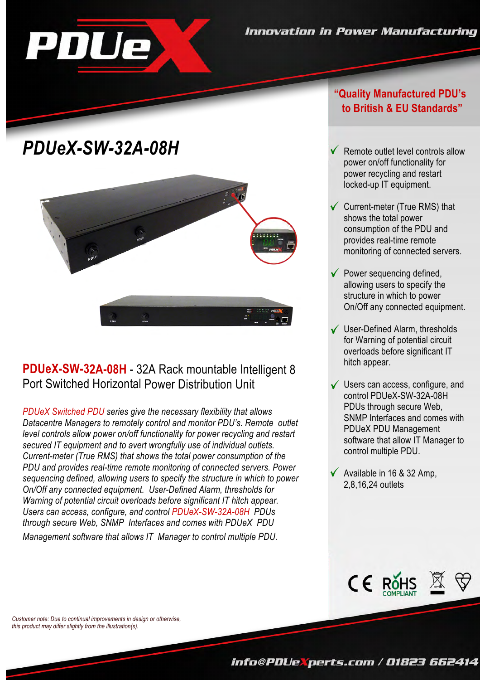# *PDUeX-SW-32A-08H* Remote

PDUe



#### **PDUeX-SW-32A-08H** - 32A Rack mountable Intelligent 8 Port Switched Horizontal Power Distribution Unit

*PDUeX Switched PDU series give the necessary flexibility that allows through secure Web, SNMP Interfaces and comes with PDUeX PDU Users can access, configure, and control PDUeX-SW-32A-08H PDUs Warning of potential circuit overloads before significant IT hitch appear. On/Off any connected equipment. User-Defined Alarm, thresholds for sequencing defined, allowing users to specify the structure in which to power PDU and provides real-time remote monitoring of connected servers. Power Current-meter (True RMS) that shows the total power consumption of the secured IT equipment and to avert wrongfully use of individual outlets. level controls allow power on/off functionality for power recycling and restart Datacentre Managers to remotely control and monitor PDU's. Remote outlet*

*Management software that allows IT Manager to control multiple PDU.*

#### **"Quality Manufactured PDU's to British & EU Standards"**

- locked-up IT equipment. power recycling and restart power on/off functionality for Remote outlet level controls allow
- Current-meter (True RMS) that monitoring of connected servers. provides real-time remote consumption of the PDU and shows the total power
- Power sequencing defined, On/Off any connected equipment. structure in which to power allowing users to specify the
- User-Defined Alarm, thresholds hitch appear. overloads before significant IT for Warning of potential circuit
- Users can access, configure, and control multiple PDU. software that allow IT Manager to PDUeX PDU Management SNMP Interfaces and comes with PDUs through secure Web, control PDUeX-SW-32A-08H
- Available in 16 & 32 Amp, 2,8,16,24 outlets



*Customer note: Due to continual improvements in design or otherwise, this product may differ slightly from the illustration(s).*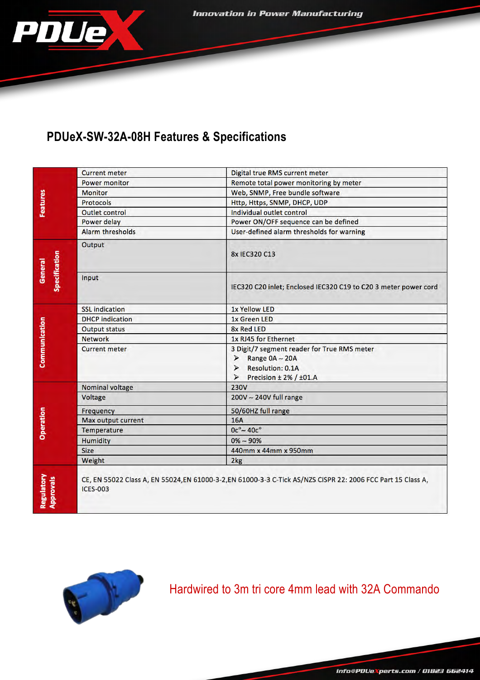Innovation in Power Manufacturing



### **PDUeX-SW-32A-08H Features & Specifications**

| Features                       | <b>Current meter</b>   | <b>Digital true RMS current meter</b>                                                                                                                                                |  |
|--------------------------------|------------------------|--------------------------------------------------------------------------------------------------------------------------------------------------------------------------------------|--|
|                                | <b>Power monitor</b>   | Remote total power monitoring by meter                                                                                                                                               |  |
|                                | <b>Monitor</b>         | Web, SNMP, Free bundle software                                                                                                                                                      |  |
|                                | <b>Protocols</b>       | Http, Https, SNMP, DHCP, UDP                                                                                                                                                         |  |
|                                | Outlet control         | Individual outlet control                                                                                                                                                            |  |
|                                | Power delay            | Power ON/OFF sequence can be defined                                                                                                                                                 |  |
|                                | Alarm thresholds       | User-defined alarm thresholds for warning                                                                                                                                            |  |
| Specification<br>General       | Output                 | 8x IEC320 C13                                                                                                                                                                        |  |
|                                | Input                  | IEC320 C20 inlet; Enclosed IEC320 C19 to C20 3 meter power cord                                                                                                                      |  |
|                                | <b>SSL indication</b>  | <b>1x Yellow LED</b>                                                                                                                                                                 |  |
|                                | <b>DHCP</b> indication | 1x Green LED                                                                                                                                                                         |  |
|                                | <b>Output status</b>   | 8x Red LED                                                                                                                                                                           |  |
| Communication                  | <b>Network</b>         | 1x RJ45 for Ethernet                                                                                                                                                                 |  |
|                                | <b>Current meter</b>   | 3 Digit/7 segment reader for True RMS meter<br>Range $0A - 20A$<br>$\blacktriangleright$<br><b>Resolution: 0.1A</b><br>≯<br>$\blacktriangleright$<br>Precision $\pm$ 2% / $\pm$ 01.A |  |
| <b>Operation</b>               | <b>Nominal voltage</b> | <b>230V</b>                                                                                                                                                                          |  |
|                                | <b>Voltage</b>         | $200V - 240V$ full range                                                                                                                                                             |  |
|                                | <b>Frequency</b>       | 50/60HZ full range                                                                                                                                                                   |  |
|                                | Max output current     | <b>16A</b>                                                                                                                                                                           |  |
|                                | Temperature            | $0c^{\circ} - 40c^{\circ}$                                                                                                                                                           |  |
|                                | <b>Humidity</b>        | $0\% - 90\%$                                                                                                                                                                         |  |
|                                | <b>Size</b>            | 440mm x 44mm x 950mm                                                                                                                                                                 |  |
|                                | Weight                 | 2kg                                                                                                                                                                                  |  |
| Regulatory<br><b>Approvals</b> | <b>ICES-003</b>        | CE, EN 55022 Class A, EN 55024,EN 61000-3-2,EN 61000-3-3 C-Tick AS/NZS CISPR 22: 2006 FCC Part 15 Class A,                                                                           |  |



Hardwired to 3m tri core 4mm lead with 32A Commando